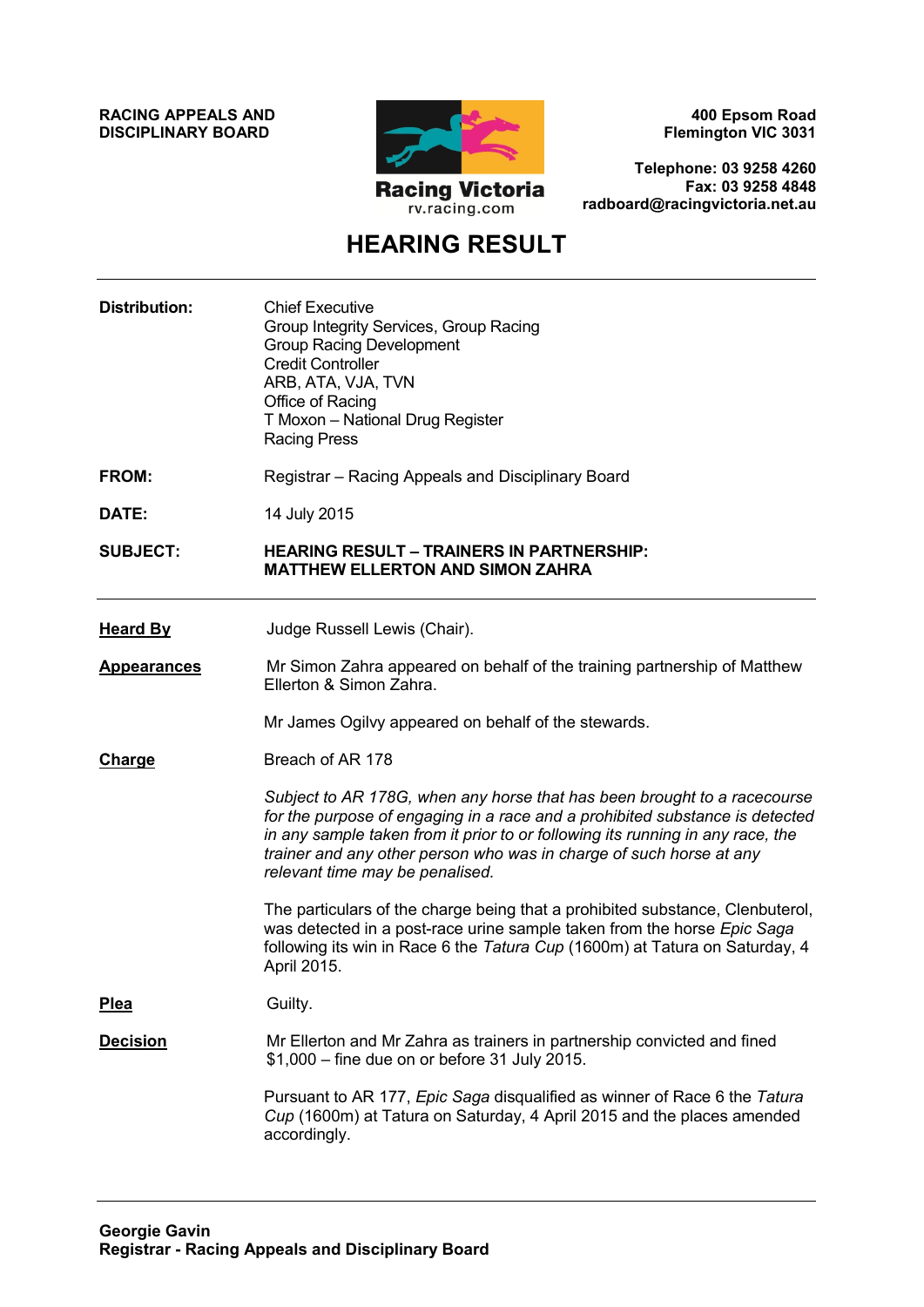**RACING APPEALS AND DISCIPLINARY BOARD**



**400 Epsom Road Flemington VIC 3031**

**Telephone: 03 9258 4260 Fax: 03 9258 4848 radboard@racingvictoria.net.au**

# **HEARING RESULT**

| <b>Distribution:</b> | <b>Chief Executive</b><br>Group Integrity Services, Group Racing<br><b>Group Racing Development</b><br><b>Credit Controller</b><br>ARB, ATA, VJA, TVN<br>Office of Racing<br>T Moxon - National Drug Register<br><b>Racing Press</b>                                                                                                                 |
|----------------------|------------------------------------------------------------------------------------------------------------------------------------------------------------------------------------------------------------------------------------------------------------------------------------------------------------------------------------------------------|
| FROM:                | Registrar – Racing Appeals and Disciplinary Board                                                                                                                                                                                                                                                                                                    |
| DATE:                | 14 July 2015                                                                                                                                                                                                                                                                                                                                         |
| <b>SUBJECT:</b>      | <b>HEARING RESULT - TRAINERS IN PARTNERSHIP:</b><br><b>MATTHEW ELLERTON AND SIMON ZAHRA</b>                                                                                                                                                                                                                                                          |
| <b>Heard By</b>      | Judge Russell Lewis (Chair).                                                                                                                                                                                                                                                                                                                         |
| <u>Appearances</u>   | Mr Simon Zahra appeared on behalf of the training partnership of Matthew<br>Ellerton & Simon Zahra.                                                                                                                                                                                                                                                  |
|                      | Mr James Ogilvy appeared on behalf of the stewards.                                                                                                                                                                                                                                                                                                  |
| <b>Charge</b>        | Breach of AR 178                                                                                                                                                                                                                                                                                                                                     |
|                      | Subject to AR 178G, when any horse that has been brought to a racecourse<br>for the purpose of engaging in a race and a prohibited substance is detected<br>in any sample taken from it prior to or following its running in any race, the<br>trainer and any other person who was in charge of such horse at any<br>relevant time may be penalised. |
|                      | The particulars of the charge being that a prohibited substance, Clenbuterol,<br>was detected in a post-race urine sample taken from the horse Epic Saga<br>following its win in Race 6 the Tatura Cup (1600m) at Tatura on Saturday, 4<br>April 2015.                                                                                               |
| <b>Plea</b>          | Guilty.                                                                                                                                                                                                                                                                                                                                              |
| <b>Decision</b>      | Mr Ellerton and Mr Zahra as trainers in partnership convicted and fined<br>\$1,000 - fine due on or before 31 July 2015.                                                                                                                                                                                                                             |
|                      | Pursuant to AR 177, Epic Saga disqualified as winner of Race 6 the Tatura<br>Cup (1600m) at Tatura on Saturday, 4 April 2015 and the places amended<br>accordingly.                                                                                                                                                                                  |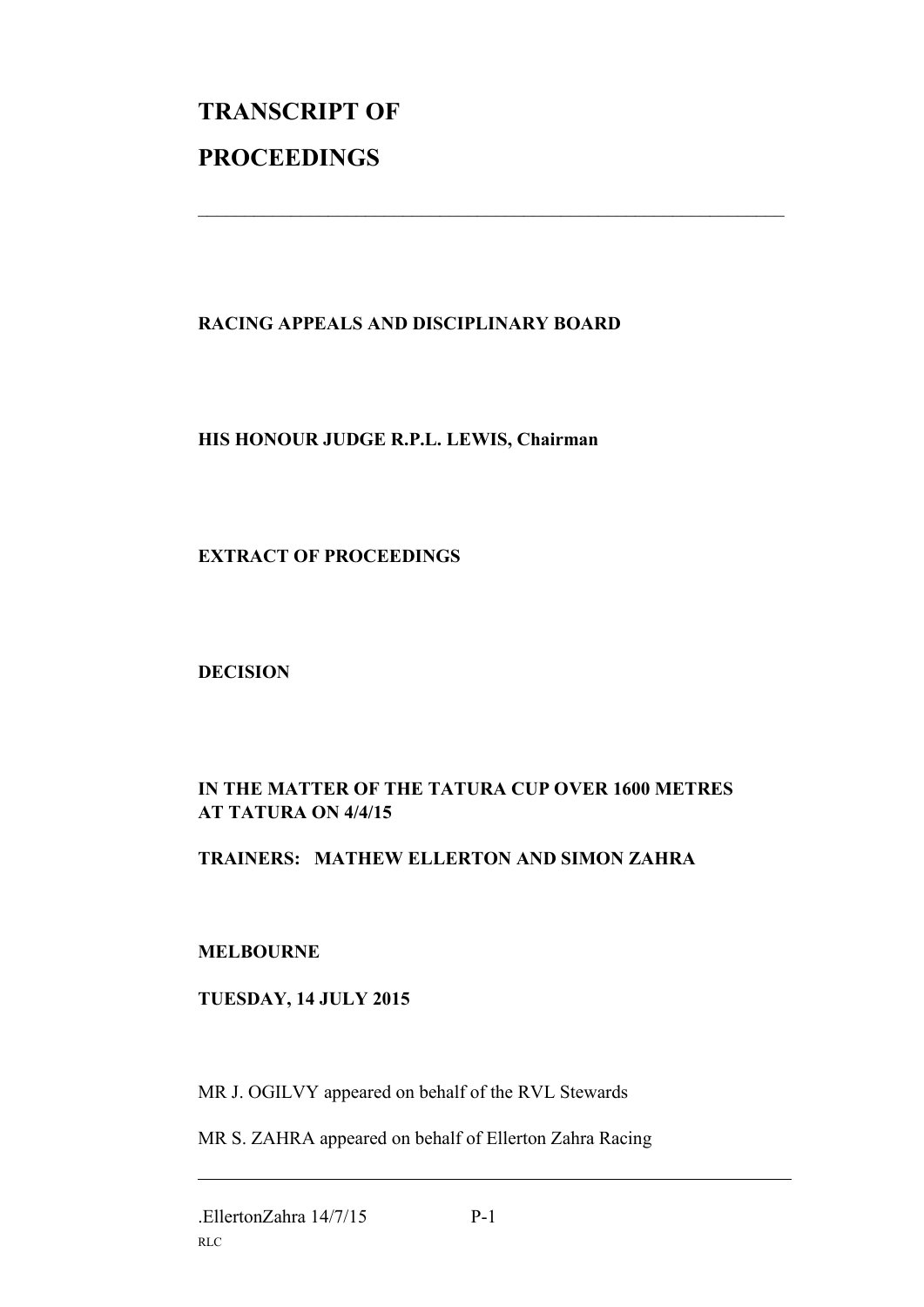# **TRANSCRIPT OF PROCEEDINGS**

## **RACING APPEALS AND DISCIPLINARY BOARD**

 $\_$  , and the set of the set of the set of the set of the set of the set of the set of the set of the set of the set of the set of the set of the set of the set of the set of the set of the set of the set of the set of th

#### **HIS HONOUR JUDGE R.P.L. LEWIS, Chairman**

#### **EXTRACT OF PROCEEDINGS**

#### **DECISION**

### **IN THE MATTER OF THE TATURA CUP OVER 1600 METRES AT TATURA ON 4/4/15**

#### **TRAINERS: MATHEW ELLERTON AND SIMON ZAHRA**

#### **MELBOURNE**

#### **TUESDAY, 14 JULY 2015**

MR J. OGILVY appeared on behalf of the RVL Stewards

MR S. ZAHRA appeared on behalf of Ellerton Zahra Racing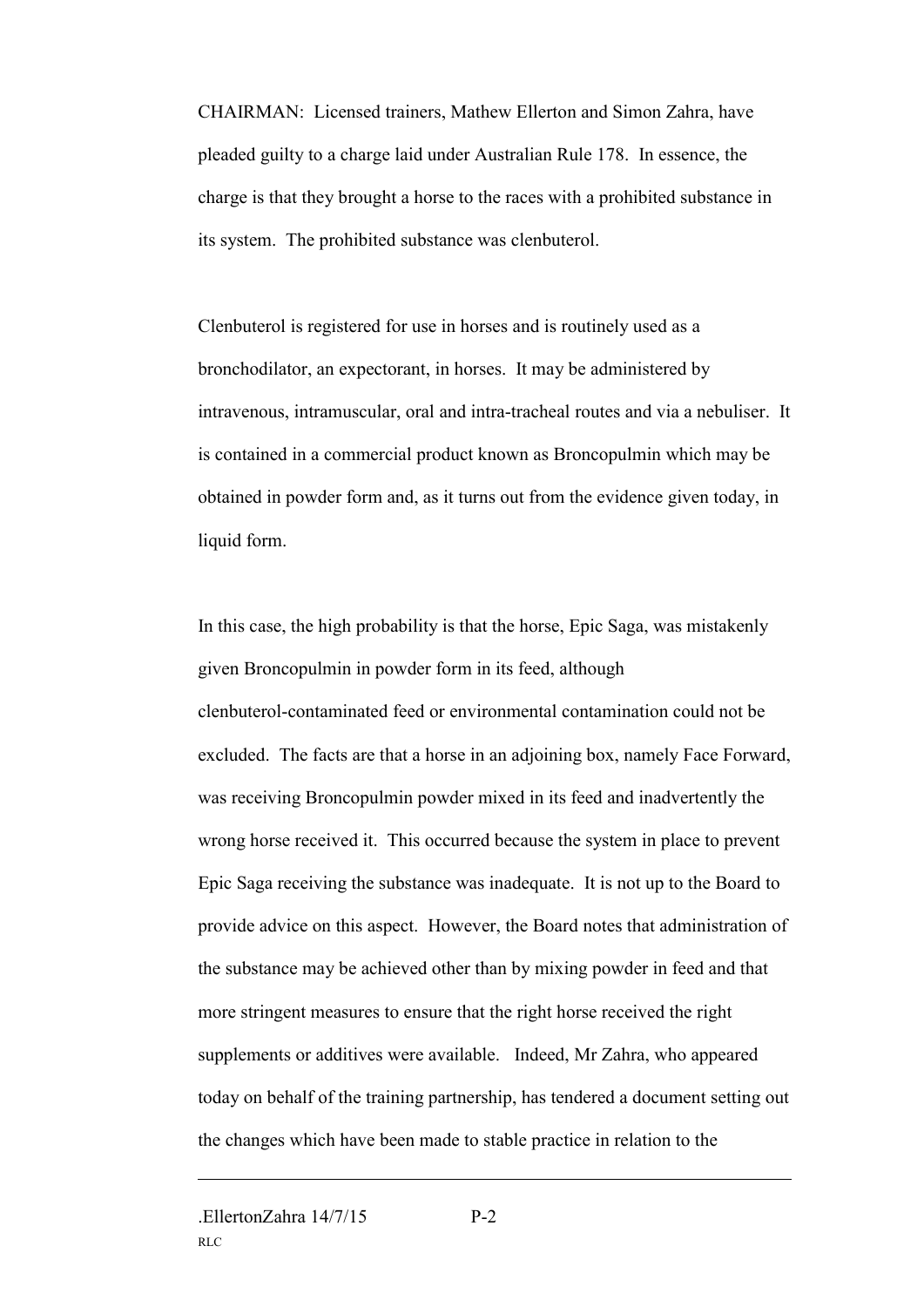CHAIRMAN: Licensed trainers, Mathew Ellerton and Simon Zahra, have pleaded guilty to a charge laid under Australian Rule 178. In essence, the charge is that they brought a horse to the races with a prohibited substance in its system. The prohibited substance was clenbuterol.

Clenbuterol is registered for use in horses and is routinely used as a bronchodilator, an expectorant, in horses. It may be administered by intravenous, intramuscular, oral and intra-tracheal routes and via a nebuliser. It is contained in a commercial product known as Broncopulmin which may be obtained in powder form and, as it turns out from the evidence given today, in liquid form.

In this case, the high probability is that the horse, Epic Saga, was mistakenly given Broncopulmin in powder form in its feed, although clenbuterol-contaminated feed or environmental contamination could not be excluded. The facts are that a horse in an adjoining box, namely Face Forward, was receiving Broncopulmin powder mixed in its feed and inadvertently the wrong horse received it. This occurred because the system in place to prevent Epic Saga receiving the substance was inadequate. It is not up to the Board to provide advice on this aspect. However, the Board notes that administration of the substance may be achieved other than by mixing powder in feed and that more stringent measures to ensure that the right horse received the right supplements or additives were available. Indeed, Mr Zahra, who appeared today on behalf of the training partnership, has tendered a document setting out the changes which have been made to stable practice in relation to the